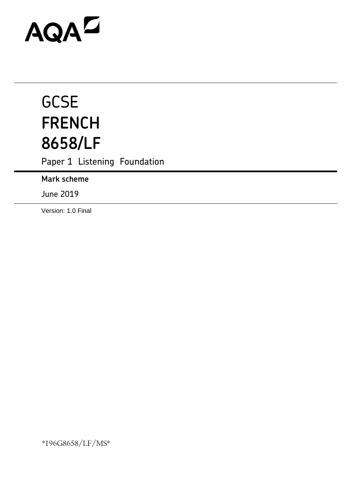# AQAD

# **GCSE FRENCH 8658/LF**

Paper 1 Listening Foundation

**Mark scheme**

June 2019

Version: 1.0 Final

\*196G8658/LF/MS\*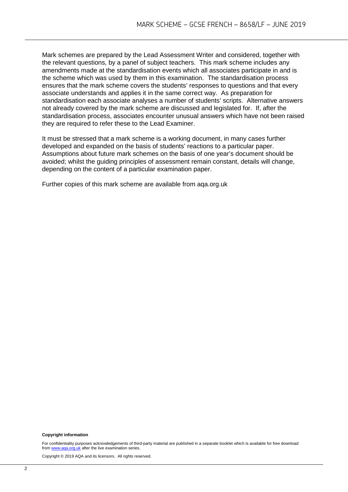Mark schemes are prepared by the Lead Assessment Writer and considered, together with the relevant questions, by a panel of subject teachers. This mark scheme includes any amendments made at the standardisation events which all associates participate in and is the scheme which was used by them in this examination. The standardisation process ensures that the mark scheme covers the students' responses to questions and that every associate understands and applies it in the same correct way. As preparation for standardisation each associate analyses a number of students' scripts. Alternative answers not already covered by the mark scheme are discussed and legislated for. If, after the standardisation process, associates encounter unusual answers which have not been raised they are required to refer these to the Lead Examiner.

It must be stressed that a mark scheme is a working document, in many cases further developed and expanded on the basis of students' reactions to a particular paper. Assumptions about future mark schemes on the basis of one year's document should be avoided; whilst the guiding principles of assessment remain constant, details will change, depending on the content of a particular examination paper.

Further copies of this mark scheme are available from aqa.org.uk

#### **Copyright information**

For confidentiality purposes acknowledgements of third-party material are published in a separate booklet which is available for free download from [www.aqa.org.uk](http://www.aqa.org.uk/) after the live examination series.

Copyright © 2019 AQA and its licensors. All rights reserved.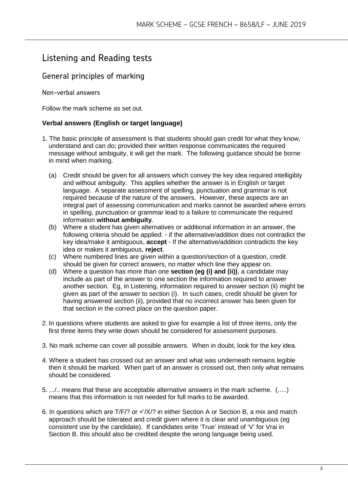# Listening and Reading tests

## General principles of marking

Non-verbal answers

Follow the mark scheme as set out.

### **Verbal answers (English or target language)**

- 1. The basic principle of assessment is that students should gain credit for what they know, understand and can do; provided their written response communicates the required message without ambiguity, it will get the mark. The following guidance should be borne in mind when marking.
	- (a) Credit should be given for all answers which convey the key idea required intelligibly and without ambiguity. This applies whether the answer is in English or target language. A separate assessment of spelling, punctuation and grammar is not required because of the nature of the answers. However, these aspects are an integral part of assessing communication and marks cannot be awarded where errors in spelling, punctuation or grammar lead to a failure to communicate the required information **without ambiguity**.
	- (b) Where a student has given alternatives or additional information in an answer, the following criteria should be applied: - if the alternative/addition does not contradict the key idea/make it ambiguous, **accept** - If the alternative/addition contradicts the key idea or makes it ambiguous, **reject**.
	- (c) Where numbered lines are given within a question/section of a question, credit should be given for correct answers, no matter which line they appear on.
	- (d) Where a question has more than one **section (eg (i) and (ii))**, a candidate may include as part of the answer to one section the information required to answer another section. Eg, in Listening, information required to answer section (ii) might be given as part of the answer to section (i). In such cases, credit should be given for having answered section (ii), provided that no incorrect answer has been given for that section in the correct place on the question paper.
- 2. In questions where students are asked to give for example a list of three items, only the first three items they write down should be considered for assessment purposes.
- 3. No mark scheme can cover all possible answers. When in doubt, look for the key idea.
- 4. Where a student has crossed out an answer and what was underneath remains legible then it should be marked. When part of an answer is crossed out, then only what remains should be considered.
- 5. .../.. means that these are acceptable alternative answers in the mark scheme. (.....) means that this information is not needed for full marks to be awarded.
- 6. In questions which are T/F/? or  $\sqrt{X/}$  in either Section A or Section B, a mix and match approach should be tolerated and credit given where it is clear and unambiguous (eg consistent use by the candidate). If candidates write 'True' instead of 'V' for Vrai in Section B, this should also be credited despite the wrong language being used.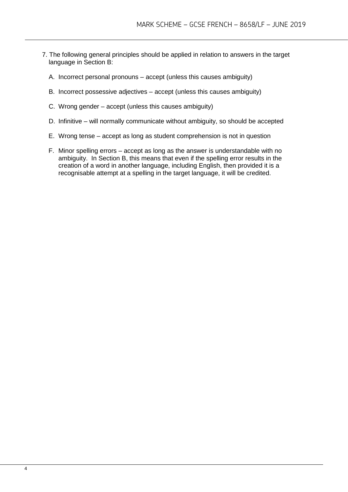- 7. The following general principles should be applied in relation to answers in the target language in Section B:
	- A. Incorrect personal pronouns accept (unless this causes ambiguity)
	- B. Incorrect possessive adjectives accept (unless this causes ambiguity)
	- C. Wrong gender accept (unless this causes ambiguity)
	- D. Infinitive will normally communicate without ambiguity, so should be accepted
	- E. Wrong tense accept as long as student comprehension is not in question
	- F. Minor spelling errors accept as long as the answer is understandable with no ambiguity. In Section B, this means that even if the spelling error results in the creation of a word in another language, including English, then provided it is a recognisable attempt at a spelling in the target language, it will be credited.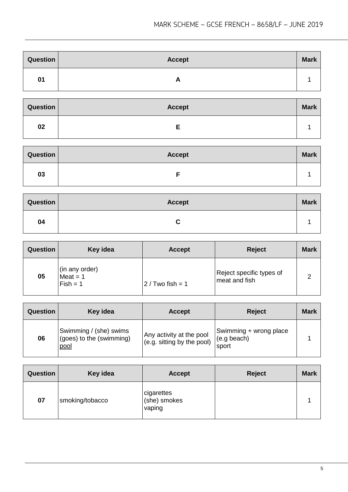| Question | <b>Accept</b> | <b>Mark</b> |
|----------|---------------|-------------|
| 01       | r.            |             |

| Question | <b>Accept</b> | <b>Mark</b> |
|----------|---------------|-------------|
| 02       |               |             |

| <b>Question</b> | <b>Accept</b> | <b>Mark</b> |
|-----------------|---------------|-------------|
| 03              |               |             |

| Question | <b>Accept</b> | <b>Mark</b> |
|----------|---------------|-------------|
| 04       | u             |             |

| Question | Key idea                                   | <b>Accept</b>       | <b>Reject</b>                             | <b>Mark</b> |
|----------|--------------------------------------------|---------------------|-------------------------------------------|-------------|
| 05       | (in any order)<br>$Mean = 1$<br>$Fish = 1$ | $12 /$ Two fish = 1 | Reject specific types of<br>meat and fish |             |

| <b>Question</b> | Key idea                                                   | <b>Accept</b>                                          | <b>Reject</b>                                  | <b>Mark</b> |
|-----------------|------------------------------------------------------------|--------------------------------------------------------|------------------------------------------------|-------------|
| 06              | Swimming / (she) swims<br>(goes) to the (swimming)<br>pool | Any activity at the pool<br>(e.g. sitting by the pool) | Swimming + wrong place<br>(e.g beach)<br>sport |             |

| <b>Question</b> | Key idea        | <b>Accept</b>                        | <b>Reject</b> | <b>Mark</b> |
|-----------------|-----------------|--------------------------------------|---------------|-------------|
| 07              | smoking/tobacco | cigarettes<br>(she) smokes<br>vaping |               |             |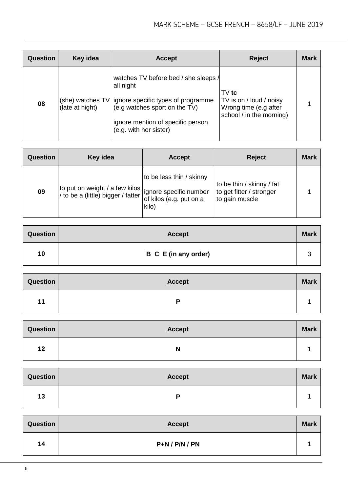| Question | Key idea        | <b>Accept</b>                                                                                                                                                                                              | <b>Reject</b>                                                                           | <b>Mark</b> |
|----------|-----------------|------------------------------------------------------------------------------------------------------------------------------------------------------------------------------------------------------------|-----------------------------------------------------------------------------------------|-------------|
| 08       | (late at night) | watches TV before bed / she sleeps /<br>all night<br>(she) watches TV   ignore specific types of programme<br>(e.g watches sport on the TV)<br>ignore mention of specific person<br>(e.g. with her sister) | $TV$ tc<br>TV is on / loud / noisy<br>Wrong time (e.g after<br>school / in the morning) |             |

| Question | Key idea                                                                                         | <b>Accept</b>                                                | <b>Reject</b>                                                           | <b>Mark</b> |
|----------|--------------------------------------------------------------------------------------------------|--------------------------------------------------------------|-------------------------------------------------------------------------|-------------|
| 09       | to put on weight / a few kilos  <br>I/ to be a (little) bigger / fatter   ignore specific number | to be less thin / skinny<br>of kilos (e.g. put on a<br>kilo) | to be thin / skinny / fat<br>to get fitter / stronger<br>to gain muscle |             |

| <b>Question</b> | <b>Accept</b>        | <b>Mark</b> |
|-----------------|----------------------|-------------|
| 10              | B C E (in any order) |             |

| Question | <b>Accept</b>  | <b>Mark</b> |
|----------|----------------|-------------|
| 11       | $\blacksquare$ |             |

| Question | <b>Accept</b> | <b>Mark</b> |
|----------|---------------|-------------|
| 12       | N             |             |

| Question | <b>Accept</b> | <b>Mark</b> |
|----------|---------------|-------------|
| 13       | D             |             |

| <b>Question</b> | <b>Accept</b>    | <b>Mark</b> |
|-----------------|------------------|-------------|
| 14              | $P+N / P/N / PN$ |             |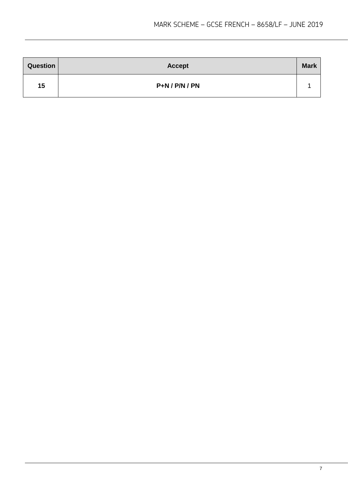| <b>Question</b> | <b>Accept</b>    | <b>Mark</b> |
|-----------------|------------------|-------------|
| 15              | $P+N / P/N / PN$ |             |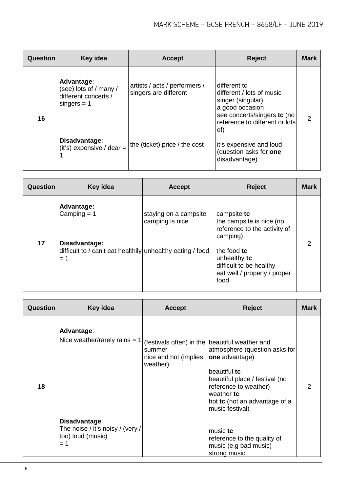| <b>Question</b> | Key idea                                                                      | <b>Accept</b>                                          | <b>Reject</b>                                                                                                                                             | <b>Mark</b> |
|-----------------|-------------------------------------------------------------------------------|--------------------------------------------------------|-----------------------------------------------------------------------------------------------------------------------------------------------------------|-------------|
| 16              | Advantage:<br>(see) lots of / many /<br>different concerts /<br>$singers = 1$ | artists / acts / performers /<br>singers are different | different tc<br>different / lots of music<br>singer (singular)<br>a good occasion<br>see concerts/singers tc (no<br>reference to different or lots<br>of) |             |
|                 | Disadvantage:<br>(it's) expensive / dear =                                    | the (ticket) price / the cost                          | it's expensive and loud<br>(question asks for one<br>disadvantage)                                                                                        |             |

| <b>Question</b> | Key idea                                                                                                            | <b>Accept</b>                            | <b>Reject</b>                                                                                                                                                                         | <b>Mark</b> |
|-----------------|---------------------------------------------------------------------------------------------------------------------|------------------------------------------|---------------------------------------------------------------------------------------------------------------------------------------------------------------------------------------|-------------|
| 17              | Advantage:<br>Camping $= 1$<br>Disadvantage:<br>difficult to / can't eat healthily unhealthy eating / food<br>$= 1$ | staying on a campsite<br>camping is nice | campsite tc<br>the campsite is nice (no<br>reference to the activity of<br>camping)<br>the food tc<br>unhealthy tc<br>difficult to be healthy<br>eat well / properly / proper<br>food |             |

| <b>Question</b> | Key idea                                                                        | <b>Accept</b>                               | Reject                                                                                                                                                                                                                                         | Mark |
|-----------------|---------------------------------------------------------------------------------|---------------------------------------------|------------------------------------------------------------------------------------------------------------------------------------------------------------------------------------------------------------------------------------------------|------|
| 18              | Advantage:<br>Nice weather/rarely rains = $1$                                   | summer<br>nice and hot (implies<br>weather) | (festivals often) in the beautiful weather and<br>atmosphere (question asks for<br>one advantage)<br>beautiful tc<br>beautiful place / festival (no<br>reference to weather)<br>weather tc<br>hot tc (not an advantage of a<br>music festival) |      |
|                 | Disadvantage:<br>The noise / it's noisy / (very /<br>too) loud (music)<br>$= 1$ |                                             | music tc<br>reference to the quality of<br>music (e.g bad music)<br>strong music                                                                                                                                                               |      |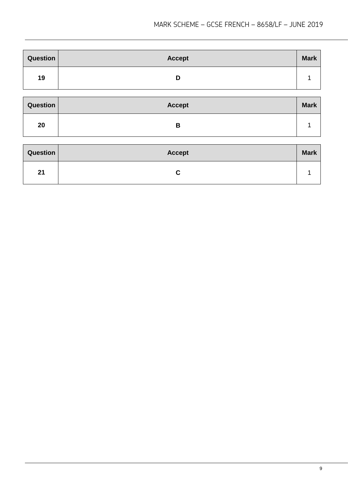| Question | <b>Accept</b> | <b>Mark</b> |
|----------|---------------|-------------|
| 19       | υ             |             |

| <b>Question</b> | <b>Accept</b> | <b>Mark</b> |
|-----------------|---------------|-------------|
| 20              | D<br>D        |             |

| <b>Question</b> | <b>Accept</b> | <b>Mark</b> |
|-----------------|---------------|-------------|
| 21              |               |             |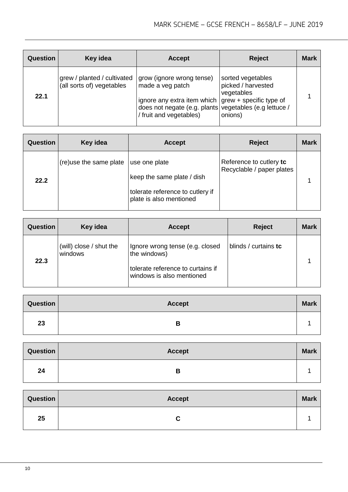| Question | Key idea                                                 | <b>Accept</b>                                                                                                                                                                                 | <b>Reject</b>                                                    | <b>Mark</b> |
|----------|----------------------------------------------------------|-----------------------------------------------------------------------------------------------------------------------------------------------------------------------------------------------|------------------------------------------------------------------|-------------|
| 22.1     | grew / planted / cultivated<br>(all sorts of) vegetables | grow (ignore wrong tense)<br>made a veg patch<br>ignore any extra item which $ $ grew + specific type of<br>does not negate (e.g. plants vegetables (e.g lettuce /<br>/ fruit and vegetables) | sorted vegetables<br>picked / harvested<br>vegetables<br>onions) |             |

| <b>Question</b> | Key idea               | <b>Accept</b>                                                                                              | <b>Reject</b>                                        | <b>Mark</b> |
|-----------------|------------------------|------------------------------------------------------------------------------------------------------------|------------------------------------------------------|-------------|
| 22.2            | (re)use the same plate | use one plate<br>keep the same plate / dish<br>tolerate reference to cutlery if<br>plate is also mentioned | Reference to cutlery to<br>Recyclable / paper plates |             |

| <b>Question</b> | Key idea                           | <b>Accept</b>                                                                                                     | <b>Reject</b>        | <b>Mark</b> |
|-----------------|------------------------------------|-------------------------------------------------------------------------------------------------------------------|----------------------|-------------|
| 22.3            | (will) close / shut the<br>windows | Ignore wrong tense (e.g. closed<br>the windows)<br>tolerate reference to curtains if<br>windows is also mentioned | blinds / curtains tc |             |

| Question | <b>Accept</b> | <b>Mark</b> |
|----------|---------------|-------------|
| 23       | В             |             |

| Question | <b>Accept</b> | <b>Mark</b> |
|----------|---------------|-------------|
| 24       | o             |             |

| Question | <b>Accept</b> | <b>Mark</b> |
|----------|---------------|-------------|
| 25       | u             |             |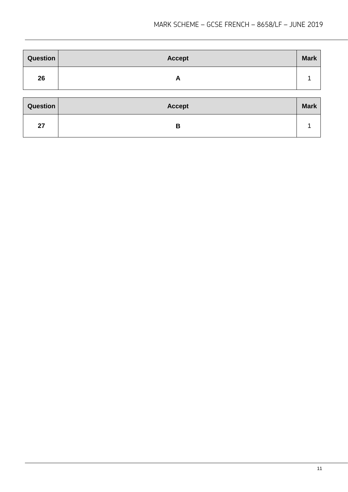| <b>Question</b> | <b>Accept</b> | <b>Mark</b> |
|-----------------|---------------|-------------|
| 26              | A             |             |
| Question        | <b>Accept</b> | <b>Mark</b> |
| 27              | B             |             |